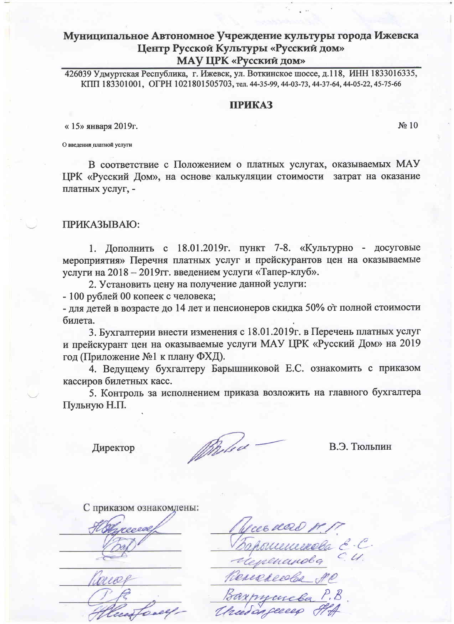426039 Удмуртская Республика, г. Ижевск, ул. Воткинское шоссе, д.118, ИНН 1833016335, КПП 183301001, ОГРН 1021801505703, тел. 44-35-99, 44-03-73, 44-37-64, 44-05-22, 45-75-66

## **ПРИКАЗ**

«15» января 2019г.

No 10

О введении платной услуги

В соответствие с Положением о платных услугах, оказываемых МАУ ЦРК «Русский Дом», на основе калькуляции стоимости затрат на оказание платных услуг, -

## ПРИКАЗЫВАЮ:

1. Дополнить с 18.01.2019г. пункт 7-8. «Культурно - досуговые мероприятия» Перечня платных услуг и прейскурантов цен на оказываемые услуги на 2018 - 2019гг. введением услуги «Тапер-клуб».

2. Установить цену на получение данной услуги:

- 100 рублей 00 копеек с человека;

- для детей в возрасте до 14 лет и пенсионеров скидка 50% от полной стоимости билета.

3. Бухгалтерии внести изменения с 18.01.2019г. в Перечень платных услуг и прейскурант цен на оказываемые услуги МАУ ЦРК «Русский Дом» на 2019 год (Приложение №1 к плану ФХД).

4. Ведущему бухгалтеру Барышниковой Е.С. ознакомить с приказом кассиров билетных касс.

5. Контроль за исполнением приказа возложить на главного бухгалтера Пульную Н.П.

Директор

Prolod

В.Э. Тюльпин

С приказом ознакомлены:

nance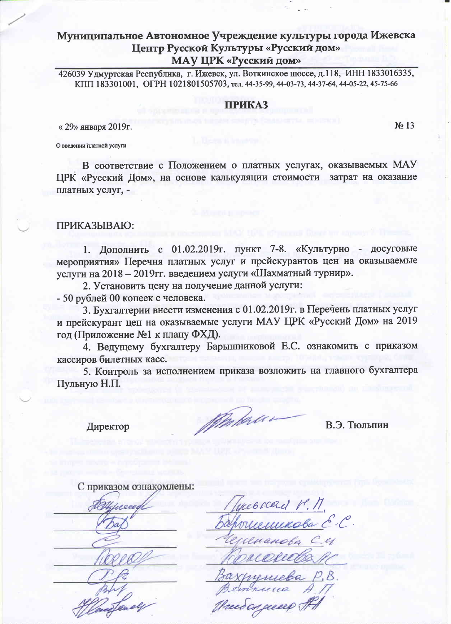426039 Удмуртская Республика, г. Ижевск, ул. Воткинское шоссе, д.118, ИНН 1833016335, КПП 183301001, ОГРН 1021801505703, тел. 44-35-99, 44-03-73, 44-37-64, 44-05-22, 45-75-66

#### **ПРИКАЗ**

« 29» января 2019г.

No 13

О введении ішатной услуги

В соответствие с Положением о платных услугах, оказываемых МАУ ЦРК «Русский Дом», на основе калькуляции стоимости затрат на оказание платных услуг, -

## ПРИКАЗЫВАЮ:

1. Дополнить с 01.02.2019г. пункт 7-8. «Культурно - досуговые мероприятия» Перечня платных услуг и прейскурантов цен на оказываемые услуги на 2018 - 2019гг. введением услуги «Шахматный турнир».

2. Установить цену на получение данной услуги:

- 50 рублей 00 копеек с человека.

3. Бухгалтерии внести изменения с 01.02.2019г. в Перечень платных услуг и прейскурант цен на оказываемые услуги МАУ ЦРК «Русский Дом» на 2019 год (Приложение №1 к плану ФХД).

4. Ведущему бухгалтеру Барышниковой Е.С. ознакомить с приказом кассиров билетных касс.

5. Контроль за исполнением приказа возложить на главного бухгалтера Пульную Н.П.

Директор

Marca co

В.Э. Тюльпин

С приказом ознакомлены:

neocead M. M.<br>Theminoba E.C. reed on greece of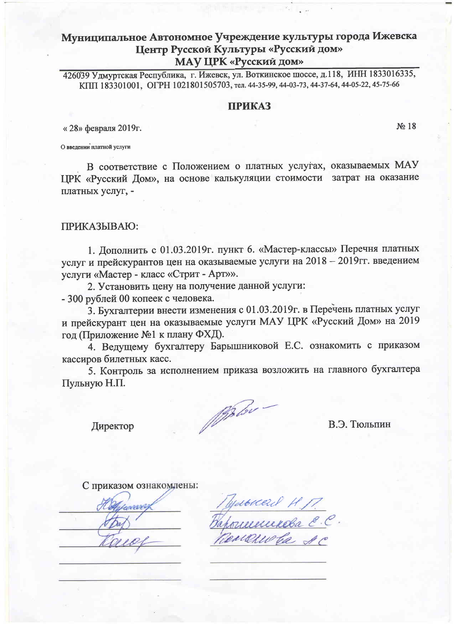426039 Удмуртская Республика, г. Ижевск, ул. Воткинское шоссе, д.118, ИНН 1833016335, КПП 183301001, ОГРН 1021801505703, тел. 44-35-99, 44-03-73, 44-37-64, 44-05-22, 45-75-66

#### **ПРИКАЗ**

« 28» февраля 2019г.

 $N<sub>2</sub> 18$ 

О введении платной услуги

В соответствие с Положением о платных услугах, оказываемых МАУ ЦРК «Русский Дом», на основе калькуляции стоимости затрат на оказание платных услуг. -

#### ПРИКАЗЫВАЮ:

1. Дополнить с 01.03.2019г. пункт 6. «Мастер-классы» Перечня платных услуг и прейскурантов цен на оказываемые услуги на 2018 - 2019гг. введением услуги «Мастер - класс «Стрит - Арт»».

2. Установить цену на получение данной услуги:

- 300 рублей 00 копеек с человека.

3. Бухгалтерии внести изменения с 01.03.2019г. в Перечень платных услуг и прейскурант цен на оказываемые услуги МАУ ЦРК «Русский Дом» на 2019 год (Приложение №1 к плану ФХД).

4. Ведущему бухгалтеру Барышниковой Е.С. ознакомить с приказом кассиров билетных касс.

5. Контроль за исполнением приказа возложить на главного бухгалтера Пульную Н.П.

Mobile -

В.Э. Тюльпин

Директор

С приказом ознакомлены:

**PERT** 

Пулькая Н. П.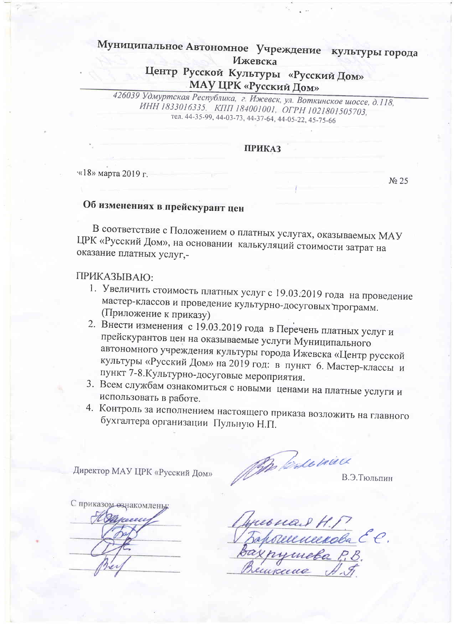# Муниципальное Автономное Учреждение культуры города Ижевска

# Центр Русской Культуры «Русский Дом» МАУ ЦРК «Русский Дом»

426039 Удмуртская Республика, г. Ижевск, ул. Воткинское шоссе, д.118, ИНН 1833016335. КПП 184001001, ОГРН 1021801505703, тел. 44-35-99, 44-03-73, 44-37-64, 44-05-22, 45-75-66

## **ПРИКАЗ**

«18» марта 2019 г.

# Об изменениях в прейскурант цен

В соответствие с Положением о платных услугах, оказываемых МАУ ЦРК «Русский Дом», на основании калькуляций стоимости затрат на оказание платных услуг,-

# ПРИКАЗЫВАЮ:

- 1. Увеличить стоимость платных услуг с 19.03.2019 года на проведение мастер-классов и проведение культурно-досуговых программ. (Приложение к приказу)
- 2. Внести изменения с 19.03.2019 года в Перечень платных услуг и прейскурантов цен на оказываемые услуги Муниципального автономного учреждения культуры города Ижевска «Центр русской культуры «Русский Дом» на 2019 год: в пункт 6. Мастер-классы и пункт 7-8. Культурно-досуговые мероприятия.
- 3. Всем службам ознакомиться с новыми ценами на платные услуги и использовать в работе.
- 4. Контроль за исполнением настоящего приказа возложить на главного бухгалтера организации Пульную Н.П.

Директор МАУ ЦРК «Русский Дом»

John Cale vive

В.Э.Тюльпин

No 25

С приказом ознакомлены:

reonair H. P. L. C.